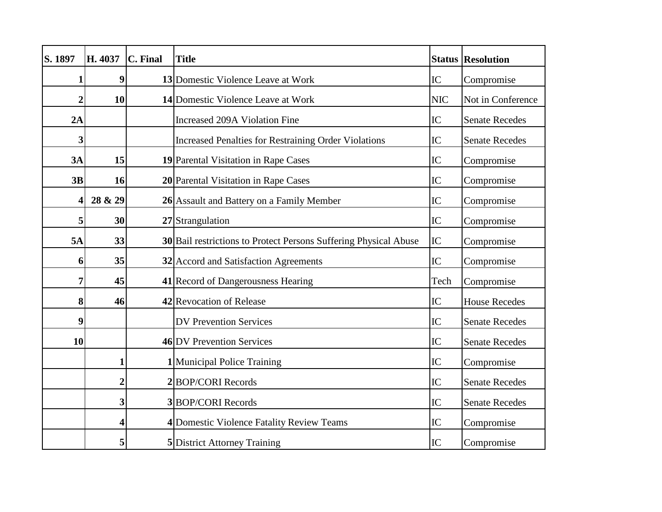| S. 1897        | H. 4037                 | C. Final | <b>Title</b>                                                     | <b>Status</b> | <b>Resolution</b>     |
|----------------|-------------------------|----------|------------------------------------------------------------------|---------------|-----------------------|
| 1              | 9                       |          | 13 Domestic Violence Leave at Work                               | IC            | Compromise            |
| $\overline{2}$ | 10                      |          | 14 Domestic Violence Leave at Work                               | <b>NIC</b>    | Not in Conference     |
| 2A             |                         |          | Increased 209A Violation Fine                                    | IC            | <b>Senate Recedes</b> |
| 3              |                         |          | <b>Increased Penalties for Restraining Order Violations</b>      | IC            | <b>Senate Recedes</b> |
| 3A             | 15                      |          | 19 Parental Visitation in Rape Cases                             | IC            | Compromise            |
| 3B             | 16                      |          | 20 Parental Visitation in Rape Cases                             | IC            | Compromise            |
| 4              | 28 & 29                 |          | 26 Assault and Battery on a Family Member                        | IC            | Compromise            |
| 5              | 30                      |          | 27 Strangulation                                                 | IC            | Compromise            |
| 5A             | 33                      |          | 30 Bail restrictions to Protect Persons Suffering Physical Abuse | IC            | Compromise            |
| 6              | 35                      |          | 32 Accord and Satisfaction Agreements                            | IC            | Compromise            |
| 7              | 45                      |          | 41 Record of Dangerousness Hearing                               | Tech          | Compromise            |
| 8              | 46                      |          | 42 Revocation of Release                                         | IC            | <b>House Recedes</b>  |
| 9              |                         |          | <b>DV Prevention Services</b>                                    | IC            | <b>Senate Recedes</b> |
| 10             |                         |          | 46 DV Prevention Services                                        | IC            | <b>Senate Recedes</b> |
|                | $\mathbf{1}$            |          | <b>1</b> Municipal Police Training                               | IC            | Compromise            |
|                | $\overline{\mathbf{c}}$ |          | 2BOP/CORI Records                                                | IC            | <b>Senate Recedes</b> |
|                | 3                       |          | 3BOP/CORI Records                                                | IC            | <b>Senate Recedes</b> |
|                | $\overline{\mathbf{4}}$ |          | 4 Domestic Violence Fatality Review Teams                        | IC            | Compromise            |
|                | 5                       |          | <b>5</b> District Attorney Training                              | IC            | Compromise            |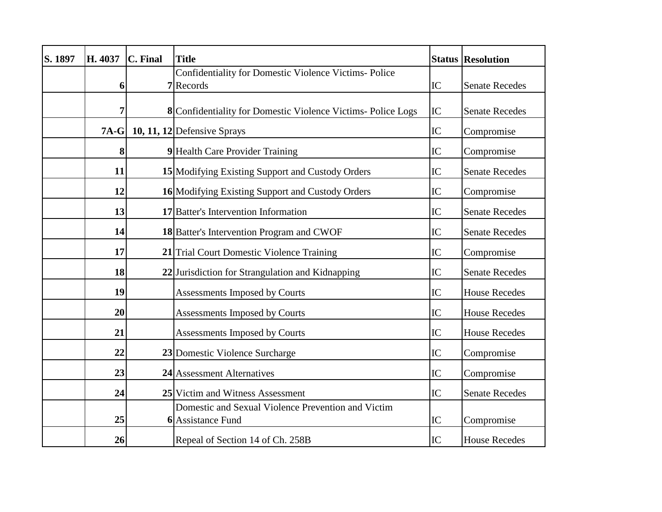| S. 1897 | H. 4037 | C. Final | <b>Title</b>                                                            |    | <b>Status Resolution</b> |
|---------|---------|----------|-------------------------------------------------------------------------|----|--------------------------|
|         |         |          | Confidentiality for Domestic Violence Victims- Police                   |    |                          |
|         | 6       |          | 7 Records                                                               | IC | <b>Senate Recedes</b>    |
|         | 7       |          | 8 Confidentiality for Domestic Violence Victims-Police Logs             | IC | <b>Senate Recedes</b>    |
|         | $7A-G$  |          | 10, 11, $12$ Defensive Sprays                                           | IC | Compromise               |
|         | 8       |          | 9 Health Care Provider Training                                         | IC | Compromise               |
|         | 11      |          | 15 Modifying Existing Support and Custody Orders                        | IC | <b>Senate Recedes</b>    |
|         | 12      |          | 16 Modifying Existing Support and Custody Orders                        | IC | Compromise               |
|         | 13      |          | 17 Batter's Intervention Information                                    | IC | <b>Senate Recedes</b>    |
|         | 14      |          | 18 Batter's Intervention Program and CWOF                               | IC | <b>Senate Recedes</b>    |
|         | 17      |          | 21 Trial Court Domestic Violence Training                               | IC | Compromise               |
|         | 18      |          | 22 Jurisdiction for Strangulation and Kidnapping                        | IC | <b>Senate Recedes</b>    |
|         | 19      |          | Assessments Imposed by Courts                                           | IC | <b>House Recedes</b>     |
|         | 20      |          | Assessments Imposed by Courts                                           | IC | <b>House Recedes</b>     |
|         | 21      |          | Assessments Imposed by Courts                                           | IC | <b>House Recedes</b>     |
|         | 22      |          | 23 Domestic Violence Surcharge                                          | IC | Compromise               |
|         | 23      |          | 24 Assessment Alternatives                                              | IC | Compromise               |
|         | 24      |          | 25 Victim and Witness Assessment                                        | IC | <b>Senate Recedes</b>    |
|         | 25      |          | Domestic and Sexual Violence Prevention and Victim<br>6 Assistance Fund | IC | Compromise               |
|         | 26      |          | Repeal of Section 14 of Ch. 258B                                        | IC | <b>House Recedes</b>     |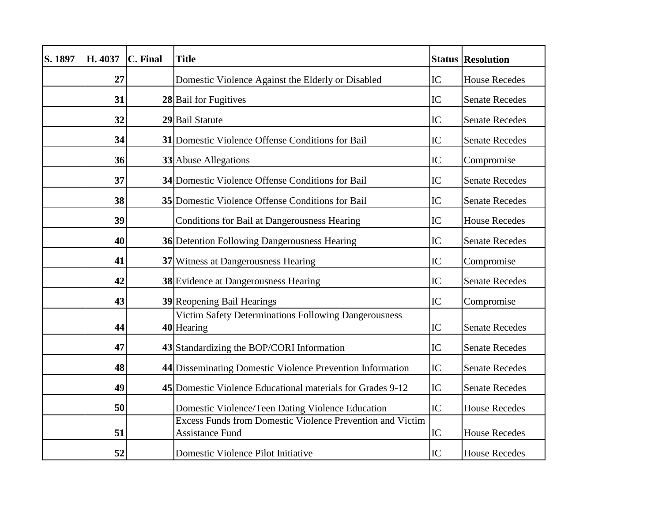| S. 1897 | H. 4037 | C. Final | <b>Title</b>                                                                               |    | <b>Status Resolution</b> |
|---------|---------|----------|--------------------------------------------------------------------------------------------|----|--------------------------|
|         | 27      |          | Domestic Violence Against the Elderly or Disabled                                          | IC | <b>House Recedes</b>     |
|         | 31      |          | 28 Bail for Fugitives                                                                      | IC | <b>Senate Recedes</b>    |
|         | 32      |          | 29 Bail Statute                                                                            | IC | <b>Senate Recedes</b>    |
|         | 34      |          | 31 Domestic Violence Offense Conditions for Bail                                           | IC | <b>Senate Recedes</b>    |
|         | 36      |          | 33 Abuse Allegations                                                                       | IC | Compromise               |
|         | 37      |          | 34 Domestic Violence Offense Conditions for Bail                                           | IC | <b>Senate Recedes</b>    |
|         | 38      |          | 35 Domestic Violence Offense Conditions for Bail                                           | IC | <b>Senate Recedes</b>    |
|         | 39      |          | Conditions for Bail at Dangerousness Hearing                                               | IC | <b>House Recedes</b>     |
|         | 40      |          | 36 Detention Following Dangerousness Hearing                                               | IC | <b>Senate Recedes</b>    |
|         | 41      |          | 37 Witness at Dangerousness Hearing                                                        | IC | Compromise               |
|         | 42      |          | <b>38</b> Evidence at Dangerousness Hearing                                                | IC | <b>Senate Recedes</b>    |
|         | 43      |          | <b>39 Reopening Bail Hearings</b>                                                          | IC | Compromise               |
|         | 44      |          | Victim Safety Determinations Following Dangerousness<br>40 Hearing                         | IC | <b>Senate Recedes</b>    |
|         | 47      |          | 43 Standardizing the BOP/CORI Information                                                  | IC | <b>Senate Recedes</b>    |
|         | 48      |          | 44 Disseminating Domestic Violence Prevention Information                                  | IC | <b>Senate Recedes</b>    |
|         | 49      |          | 45 Domestic Violence Educational materials for Grades 9-12                                 | IC | <b>Senate Recedes</b>    |
|         | 50      |          | Domestic Violence/Teen Dating Violence Education                                           | IC | <b>House Recedes</b>     |
|         | 51      |          | <b>Excess Funds from Domestic Violence Prevention and Victim</b><br><b>Assistance Fund</b> | IC | <b>House Recedes</b>     |
|         | 52      |          | Domestic Violence Pilot Initiative                                                         | IC | <b>House Recedes</b>     |